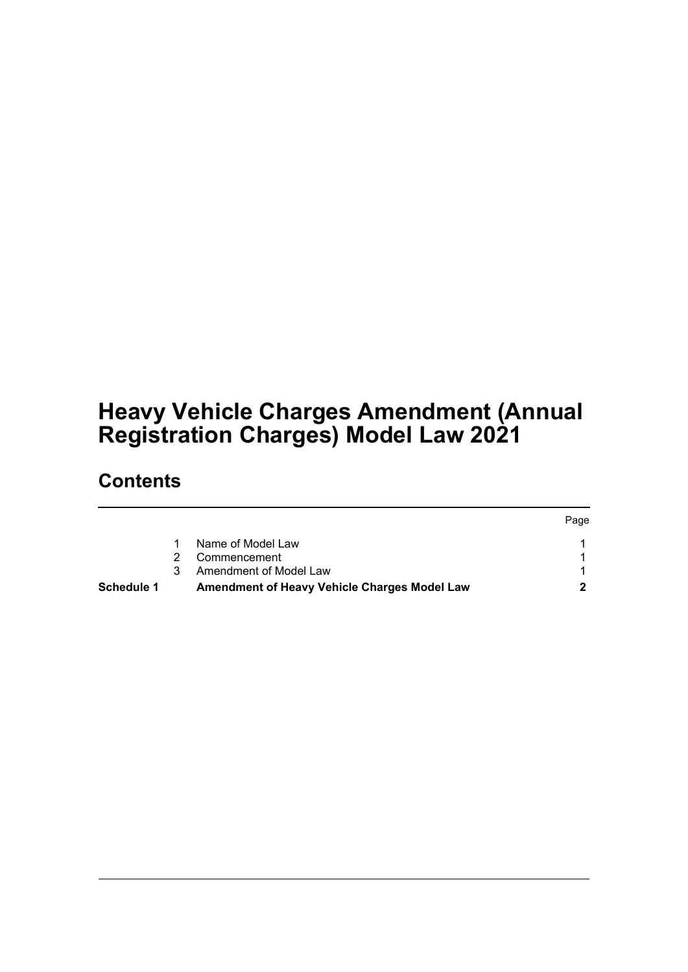# **Heavy Vehicle Charges Amendment (Annual Registration Charges) Model Law 2021**

## **Contents**

|                   |   |                                              | Page |
|-------------------|---|----------------------------------------------|------|
|                   |   | Name of Model Law                            |      |
|                   |   | Commencement                                 |      |
|                   | 3 | Amendment of Model Law                       |      |
| <b>Schedule 1</b> |   | Amendment of Heavy Vehicle Charges Model Law |      |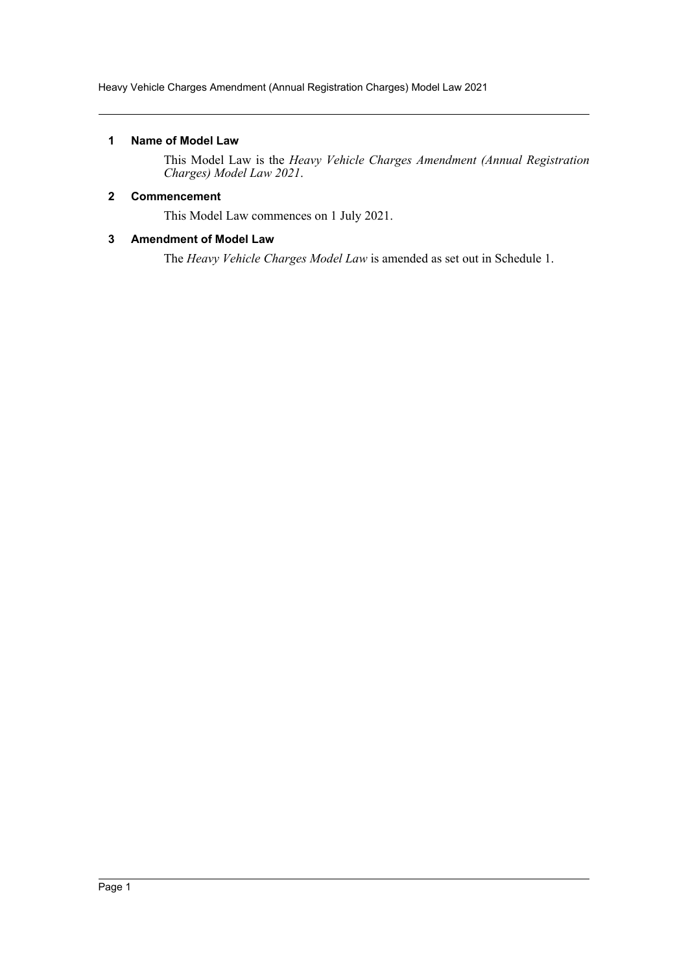Heavy Vehicle Charges Amendment (Annual Registration Charges) Model Law 2021

## <span id="page-1-0"></span>**1 Name of Model Law**

This Model Law is the *Heavy Vehicle Charges Amendment (Annual Registration Charges) Model Law 2021*.

## <span id="page-1-1"></span>**2 Commencement**

This Model Law commences on 1 July 2021.

## <span id="page-1-2"></span>**3 Amendment of Model Law**

The *Heavy Vehicle Charges Model Law* is amended as set out in Schedule 1.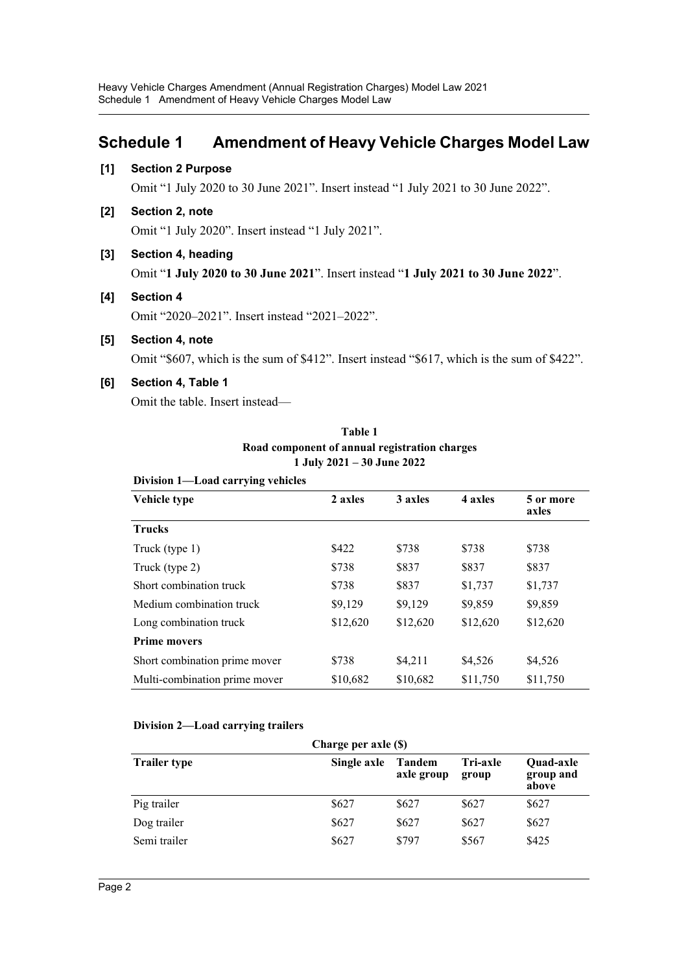## <span id="page-2-0"></span>**Schedule 1 Amendment of Heavy Vehicle Charges Model Law**

## **[1] Section 2 Purpose**

Omit "1 July 2020 to 30 June 2021". Insert instead "1 July 2021 to 30 June 2022".

**[2] Section 2, note**

Omit "1 July 2020". Insert instead "1 July 2021".

**[3] Section 4, heading**

Omit "**1 July 2020 to 30 June 2021**". Insert instead "**1 July 2021 to 30 June 2022**".

**[4] Section 4**

Omit "2020–2021". Insert instead "2021–2022".

**[5] Section 4, note**

Omit "\$607, which is the sum of \$412". Insert instead "\$617, which is the sum of \$422".

## **[6] Section 4, Table 1**

Omit the table. Insert instead—

| Division 1-Load carrying vehicles |          |          |          |                    |
|-----------------------------------|----------|----------|----------|--------------------|
| Vehicle type                      | 2 axles  | 3 axles  | 4 axles  | 5 or more<br>axles |
| <b>Trucks</b>                     |          |          |          |                    |
| Truck (type 1)                    | \$422    | \$738    | \$738    | \$738              |
| Truck (type 2)                    | \$738    | \$837    | \$837    | \$837              |
| Short combination truck           | \$738    | \$837    | \$1,737  | \$1,737            |
| Medium combination truck          | \$9,129  | \$9,129  | \$9,859  | \$9,859            |
| Long combination truck            | \$12,620 | \$12,620 | \$12,620 | \$12,620           |
| <b>Prime movers</b>               |          |          |          |                    |
| Short combination prime mover     | \$738    | \$4,211  | \$4,526  | \$4,526            |
| Multi-combination prime mover     | \$10,682 | \$10,682 | \$11,750 | \$11,750           |

**Table 1 Road component of annual registration charges 1 July 2021 – 30 June 2022**

## **Division 2—Load carrying trailers**

| Charge per axle (\$) |             |                      |                          |                                        |
|----------------------|-------------|----------------------|--------------------------|----------------------------------------|
| <b>Trailer type</b>  | Single axle | Tandem<br>axle group | <b>Tri-axle</b><br>group | <b>Ouad-axle</b><br>group and<br>above |
| Pig trailer          | \$627       | \$627                | \$627                    | \$627                                  |
| Dog trailer          | \$627       | \$627                | \$627                    | \$627                                  |
| Semi trailer         | \$627       | \$797                | \$567                    | \$425                                  |